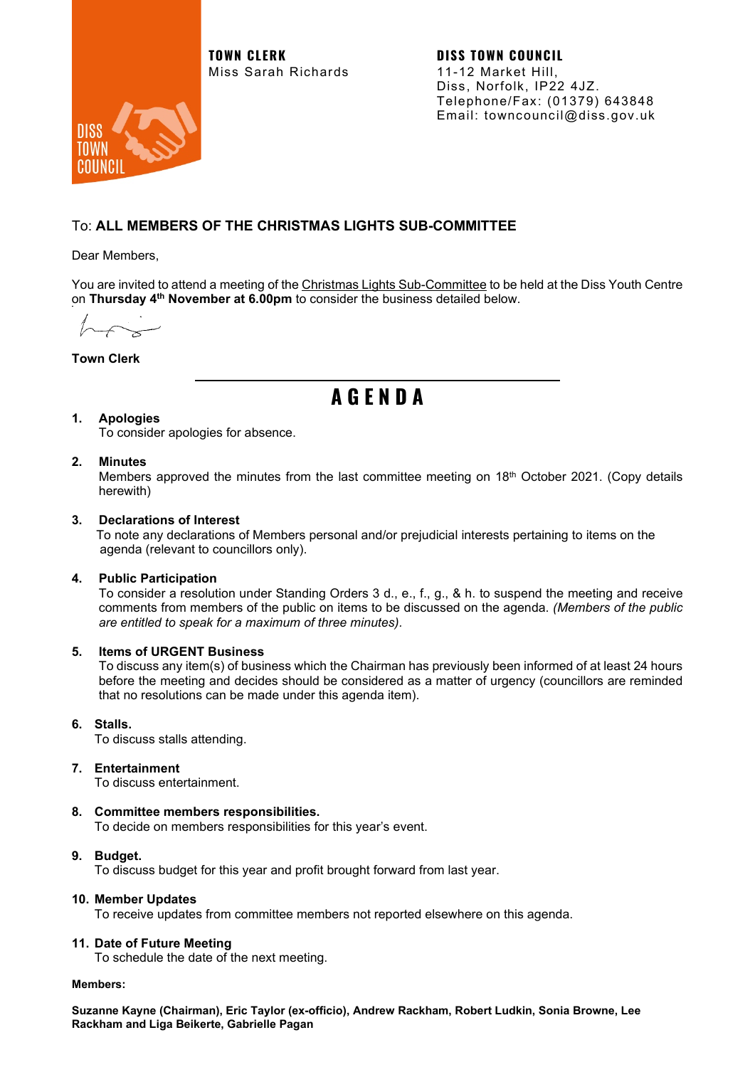**TOWN CLERK DISS TOWN COUNCIL** Miss Sarah Richards 11-12 Market Hill,



Diss, Norfolk, IP22 4JZ. Telephone/Fax: (01379) 643848 Email: towncouncil@diss.gov.uk

### To: **ALL MEMBERS OF THE CHRISTMAS LIGHTS SUB-COMMITTEE**

Dear Members,

You are invited to attend a meeting of the Christmas Lights Sub-Committee to be held at the Diss Youth Centre on **Thursday 4th November at 6.00pm** to consider the business detailed below.

**Town Clerk**

# **A G E N D A**

#### **1. Apologies**

To consider apologies for absence.

#### **2. Minutes**

Members approved the minutes from the last committee meeting on 18<sup>th</sup> October 2021. (Copy details herewith)

#### **3. Declarations of Interest**

 To note any declarations of Members personal and/or prejudicial interests pertaining to items on the agenda (relevant to councillors only).

#### **4. Public Participation**

To consider a resolution under Standing Orders 3 d., e., f., g., & h. to suspend the meeting and receive comments from members of the public on items to be discussed on the agenda. *(Members of the public are entitled to speak for a maximum of three minutes).*

#### **5. Items of URGENT Business**

To discuss any item(s) of business which the Chairman has previously been informed of at least 24 hours before the meeting and decides should be considered as a matter of urgency (councillors are reminded that no resolutions can be made under this agenda item).

#### **6. Stalls.**

To discuss stalls attending.

#### **7. Entertainment**

To discuss entertainment.

#### **8. Committee members responsibilities.**

To decide on members responsibilities for this year's event.

### **9. Budget.**

To discuss budget for this year and profit brought forward from last year.

#### **10. Member Updates**

To receive updates from committee members not reported elsewhere on this agenda.

#### **11. Date of Future Meeting**

To schedule the date of the next meeting.

#### **Members:**

**Suzanne Kayne (Chairman), Eric Taylor (ex-officio), Andrew Rackham, Robert Ludkin, Sonia Browne, Lee Rackham and Liga Beikerte, Gabrielle Pagan**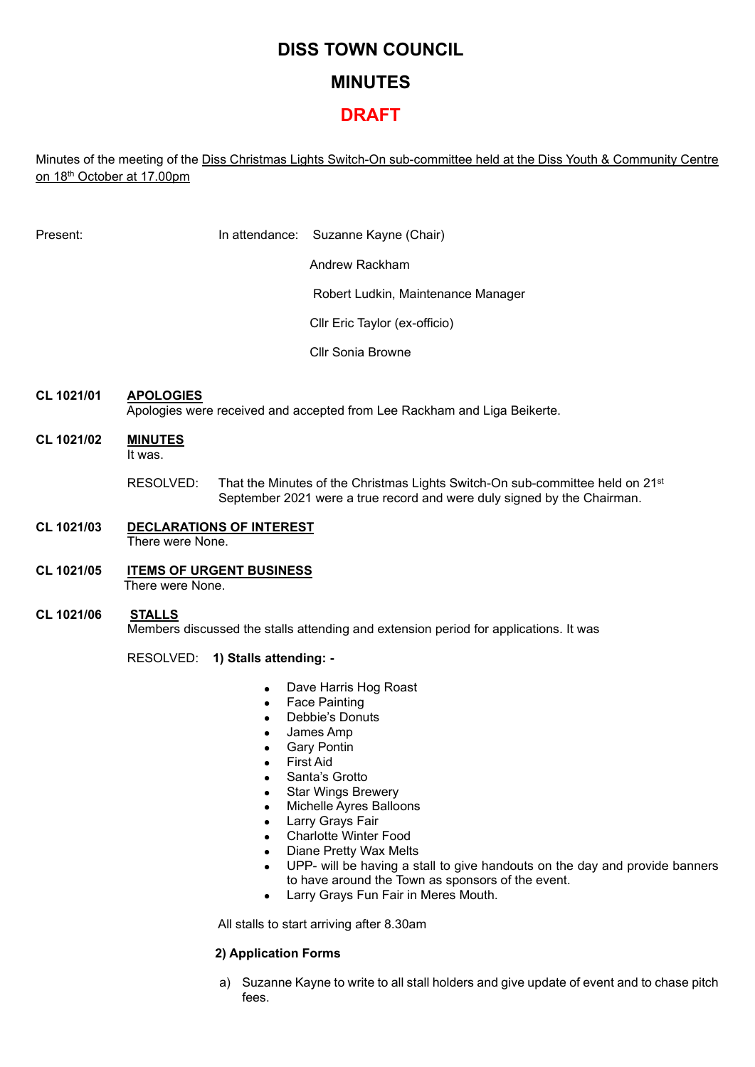# **DISS TOWN COUNCIL MINUTES**

# **DRAFT**

Minutes of the meeting of the Diss Christmas Lights Switch-On sub-committee held at the Diss Youth & Community Centre on 18th October at 17.00pm

Present: In attendance: Suzanne Kayne (Chair)

Andrew Rackham

Robert Ludkin, Maintenance Manager

Cllr Eric Taylor (ex-officio)

Cllr Sonia Browne

## **CL 1021/01 APOLOGIES**

Apologies were received and accepted from Lee Rackham and Liga Beikerte.

- **CL 1021/02 MINUTES** It was.
	- RESOLVED: That the Minutes of the Christmas Lights Switch-On sub-committee held on 21<sup>st</sup> September 2021 were a true record and were duly signed by the Chairman.
- **CL 1021/03 DECLARATIONS OF INTEREST** There were None.
- **CL 1021/05 ITEMS OF URGENT BUSINESS** There were None.
- **CL 1021/06 STALLS** Members discussed the stalls attending and extension period for applications. It was

#### RESOLVED: **1) Stalls attending: -**

- Dave Harris Hog Roast
- Face Painting
- Debbie's Donuts
- James Amp
- **Gary Pontin**
- First Aid
- Santa's Grotto
- **Star Wings Brewery**
- Michelle Ayres Balloons
- **Larry Grays Fair**
- Charlotte Winter Food
- Diane Pretty Wax Melts
- UPP- will be having a stall to give handouts on the day and provide banners to have around the Town as sponsors of the event.
- Larry Grays Fun Fair in Meres Mouth.

All stalls to start arriving after 8.30am

#### **2) Application Forms**

a) Suzanne Kayne to write to all stall holders and give update of event and to chase pitch fees.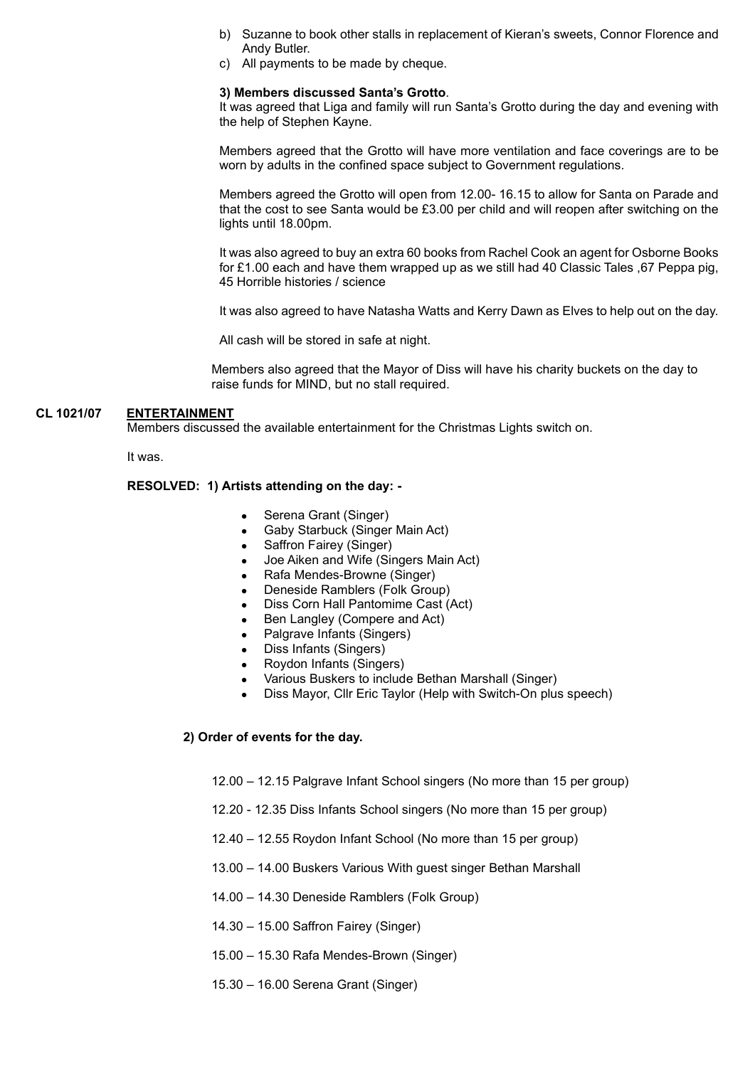- b) Suzanne to book other stalls in replacement of Kieran's sweets, Connor Florence and Andy Butler.
- c) All payments to be made by cheque.

#### **3) Members discussed Santa's Grotto**.

It was agreed that Liga and family will run Santa's Grotto during the day and evening with the help of Stephen Kayne.

Members agreed that the Grotto will have more ventilation and face coverings are to be worn by adults in the confined space subject to Government regulations.

Members agreed the Grotto will open from 12.00- 16.15 to allow for Santa on Parade and that the cost to see Santa would be £3.00 per child and will reopen after switching on the lights until 18.00pm.

It was also agreed to buy an extra 60 books from Rachel Cook an agent for Osborne Books for £1.00 each and have them wrapped up as we still had 40 Classic Tales ,67 Peppa pig, 45 Horrible histories / science

It was also agreed to have Natasha Watts and Kerry Dawn as Elves to help out on the day.

All cash will be stored in safe at night.

Members also agreed that the Mayor of Diss will have his charity buckets on the day to raise funds for MIND, but no stall required.

#### **CL 1021/07 ENTERTAINMENT**

Members discussed the available entertainment for the Christmas Lights switch on.

It was.

#### **RESOLVED: 1) Artists attending on the day: -**

- Serena Grant (Singer)
- Gaby Starbuck (Singer Main Act)
- Saffron Fairey (Singer)
- Joe Aiken and Wife (Singers Main Act)
- Rafa Mendes-Browne (Singer)
- Deneside Ramblers (Folk Group)
- Diss Corn Hall Pantomime Cast (Act)
- Ben Langley (Compere and Act)
- Palgrave Infants (Singers)
- Diss Infants (Singers)
- Roydon Infants (Singers)
- Various Buskers to include Bethan Marshall (Singer)
- Diss Mayor, Cllr Eric Taylor (Help with Switch-On plus speech)

#### **2) Order of events for the day.**

- 12.00 12.15 Palgrave Infant School singers (No more than 15 per group)
- 12.20 12.35 Diss Infants School singers (No more than 15 per group)
- 12.40 12.55 Roydon Infant School (No more than 15 per group)
- 13.00 14.00 Buskers Various With guest singer Bethan Marshall
- 14.00 14.30 Deneside Ramblers (Folk Group)
- 14.30 15.00 Saffron Fairey (Singer)
- 15.00 15.30 Rafa Mendes-Brown (Singer)
- 15.30 16.00 Serena Grant (Singer)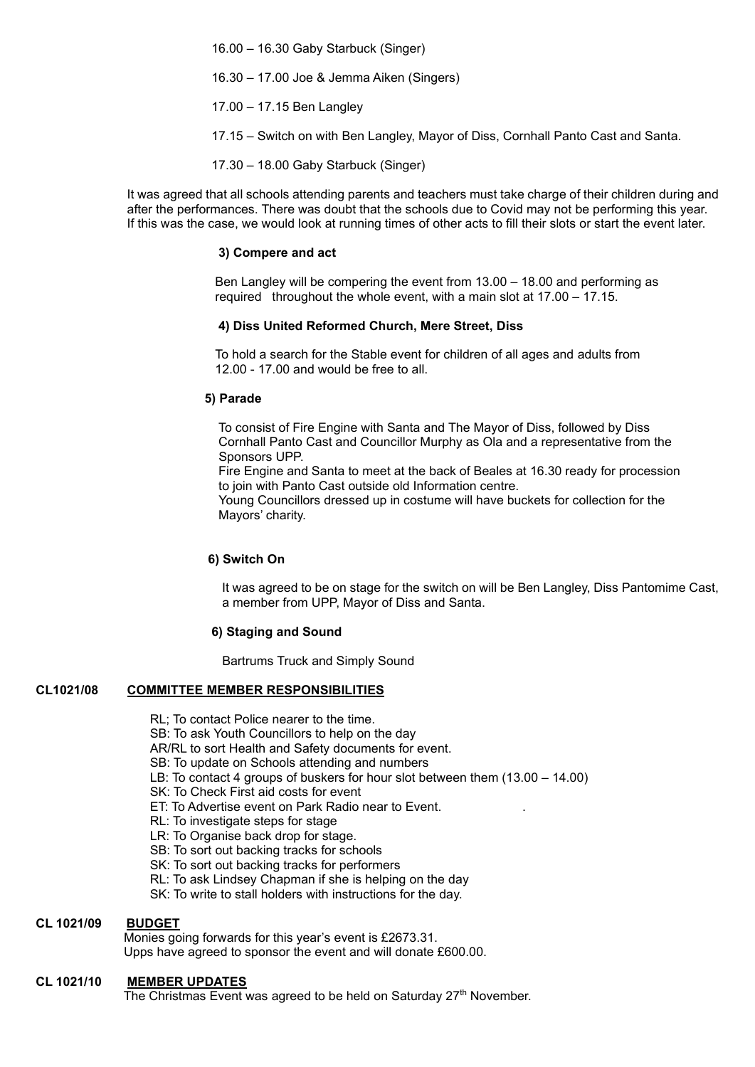16.00 – 16.30 Gaby Starbuck (Singer)

16.30 – 17.00 Joe & Jemma Aiken (Singers)

17.00 – 17.15 Ben Langley

17.15 – Switch on with Ben Langley, Mayor of Diss, Cornhall Panto Cast and Santa.

17.30 – 18.00 Gaby Starbuck (Singer)

It was agreed that all schools attending parents and teachers must take charge of their children during and after the performances. There was doubt that the schools due to Covid may not be performing this year. If this was the case, we would look at running times of other acts to fill their slots or start the event later.

#### **3) Compere and act**

Ben Langley will be compering the event from 13.00 – 18.00 and performing as required throughout the whole event, with a main slot at 17.00 – 17.15.

#### **4) Diss United Reformed Church, Mere Street, Diss**

To hold a search for the Stable event for children of all ages and adults from 12.00 - 17.00 and would be free to all.

#### **5) Parade**

To consist of Fire Engine with Santa and The Mayor of Diss, followed by Diss Cornhall Panto Cast and Councillor Murphy as Ola and a representative from the Sponsors UPP.

 Fire Engine and Santa to meet at the back of Beales at 16.30 ready for procession to join with Panto Cast outside old Information centre.

 Young Councillors dressed up in costume will have buckets for collection for the Mayors' charity.

#### **6) Switch On**

It was agreed to be on stage for the switch on will be Ben Langley, Diss Pantomime Cast, a member from UPP, Mayor of Diss and Santa.

#### **6) Staging and Sound**

**Bartrums Truck and Simply Sound** 

#### **CL1021/08 COMMITTEE MEMBER RESPONSIBILITIES**

RL; To contact Police nearer to the time.

SB: To ask Youth Councillors to help on the day

AR/RL to sort Health and Safety documents for event.

- SB: To update on Schools attending and numbers
- LB: To contact 4 groups of buskers for hour slot between them (13.00 14.00)
- SK: To Check First aid costs for event
- ET: To Advertise event on Park Radio near to Event. .
- RL: To investigate steps for stage
- LR: To Organise back drop for stage.
- SB: To sort out backing tracks for schools
- SK: To sort out backing tracks for performers
- RL: To ask Lindsey Chapman if she is helping on the day
- SK: To write to stall holders with instructions for the day.

#### **CL 1021/09 BUDGET**

Monies going forwards for this year's event is £2673.31. Upps have agreed to sponsor the event and will donate £600.00.

#### **CL 1021/10 MEMBER UPDATES**

The Christmas Event was agreed to be held on Saturday 27<sup>th</sup> November.